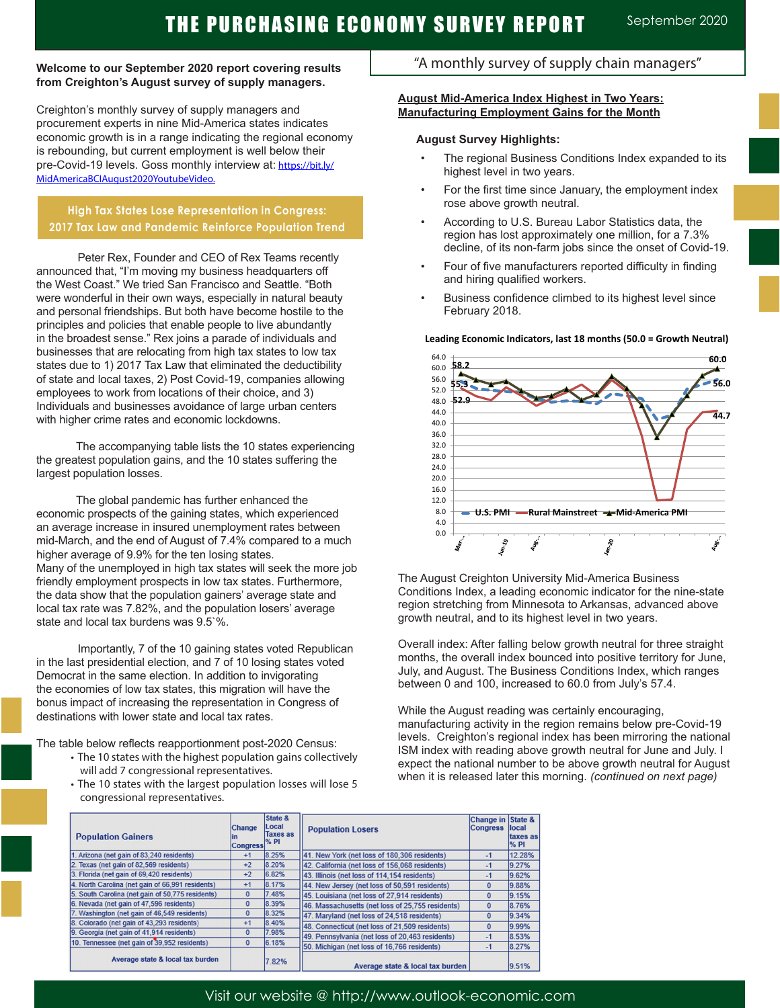#### **Welcome to our September 2020 report covering results from Creighton's August survey of supply managers.**

Creighton's monthly survey of supply managers and procurement experts in nine Mid-America states indicates economic growth is in a range indicating the regional economy is rebounding, but current employment is well below their pre-Covid-19 levels. Goss monthly interview at: https://bit.ly/ MidAmericaBCIAugust2020YoutubeVideo.

## **High Tax States Lose Representation in Congress: 2017 Tax Law and Pandemic Reinforce Population Trend**

Peter Rex, Founder and CEO of Rex Teams recently announced that, "I'm moving my business headquarters off the West Coast." We tried San Francisco and Seattle. "Both were wonderful in their own ways, especially in natural beauty and personal friendships. But both have become hostile to the principles and policies that enable people to live abundantly in the broadest sense." Rex joins a parade of individuals and businesses that are relocating from high tax states to low tax states due to 1) 2017 Tax Law that eliminated the deductibility of state and local taxes, 2) Post Covid-19, companies allowing employees to work from locations of their choice, and 3) Individuals and businesses avoidance of large urban centers with higher crime rates and economic lockdowns.

 The accompanying table lists the 10 states experiencing the greatest population gains, and the 10 states suffering the largest population losses.

 The global pandemic has further enhanced the economic prospects of the gaining states, which experienced an average increase in insured unemployment rates between mid-March, and the end of August of 7.4% compared to a much higher average of 9.9% for the ten losing states. Many of the unemployed in high tax states will seek the more job friendly employment prospects in low tax states. Furthermore, the data show that the population gainers' average state and local tax rate was 7.82%, and the population losers' average state and local tax burdens was 9.5`%.

Importantly, 7 of the 10 gaining states voted Republican in the last presidential election, and 7 of 10 losing states voted Democrat in the same election. In addition to invigorating the economies of low tax states, this migration will have the bonus impact of increasing the representation in Congress of destinations with lower state and local tax rates.

The table below reflects reapportionment post-2020 Census:

- The 10 states with the highest population gains collectively will add 7 congressional representatives.
- The 10 states with the largest population losses will lose 5 congressional representatives.

# "A monthly survey of supply chain managers"

### **August Mid-America Index Highest in Two Years: Manufacturing Employment Gains for the Month**

### **August Survey Highlights:**

- The regional Business Conditions Index expanded to its highest level in two years.
- For the first time since January, the employment index rose above growth neutral.
- According to U.S. Bureau Labor Statistics data, the region has lost approximately one million, for a 7.3% decline, of its non-farm jobs since the onset of Covid-19.
- Four of five manufacturers reported difficulty in finding and hiring qualified workers.
- Business confidence climbed to its highest level since February 2018.

### **Leading Economic Indicators, last 18 months (50.0 = Growth Neutral)**



The August Creighton University Mid-America Business Conditions Index, a leading economic indicator for the nine-state region stretching from Minnesota to Arkansas, advanced above growth neutral, and to its highest level in two years.

Overall index: After falling below growth neutral for three straight months, the overall index bounced into positive territory for June, July, and August. The Business Conditions Index, which ranges between 0 and 100, increased to 60.0 from July's 57.4.

While the August reading was certainly encouraging, manufacturing activity in the region remains below pre-Covid-19 levels. Creighton's regional index has been mirroring the national ISM index with reading above growth neutral for June and July. I expect the national number to be above growth neutral for August when it is released later this morning. *(continued on next page)* 

| <b>Population Gainers</b>                        | <b>Change</b><br>ın<br><b>Congress</b> | State &<br>Local<br><b>Taxes as</b><br>$\%$ PI | <b>Population Losers</b>                         | Change in State &<br><b>Congress</b> | llocal<br>taxes as<br>$%$ PI |
|--------------------------------------------------|----------------------------------------|------------------------------------------------|--------------------------------------------------|--------------------------------------|------------------------------|
| 1. Arizona (net gain of 83,240 residents)        | $+1$                                   | 8.25%                                          | 41. New York (net loss of 180,306 residents)     | $-1$                                 | 12.28%                       |
| 2. Texas (net gain of 82,569 residents)          | $+2$                                   | 8.20%                                          | 42. California (net loss of 156,068 residents)   | $-1$                                 | 9.27%                        |
| 3. Florida (net gain of 69,420 residents)        | $+2$                                   | 6.82%                                          | 43. Illinois (net loss of 114, 154 residents)    | $-1$                                 | 9.62%                        |
| 4. North Carolina (net gain of 66.991 residents) | $+1$                                   | 8.17%                                          | 44. New Jersey (net loss of 50,591 residents)    | $\bf{0}$                             | 9.88%                        |
| 5. South Carolina (net gain of 50,775 residents) | $\bf{0}$                               | 7.48%                                          | 45. Louisiana (net loss of 27,914 residents)     | $\bf{0}$                             | 9.15%                        |
| 6. Nevada (net gain of 47,596 residents)         | $\mathbf{0}$                           | 8.39%                                          | 46. Massachusetts (net loss of 25,755 residents) | $\bf{0}$                             | 8.76%                        |
| Washington (net gain of 46,549 residents)        | 0                                      | 8.32%                                          | 47. Maryland (net loss of 24,518 residents)      | $\bf{0}$                             | 9.34%                        |
| 8. Colorado (net gain of 43,293 residents)       | $+1$                                   | 8.40%                                          | 48. Connecticut (net loss of 21,509 residents)   | $\Omega$                             | 9.99%                        |
| 9. Georgia (net gain of 41,914 residents)        | $\mathbf{0}$                           | 7.98%                                          | 49. Pennsylvania (net loss of 20.463 residents)  | $-1$                                 | 8.53%                        |
| 10. Tennessee (net gain of 39,952 residents).    | $\bf{0}$                               | 6.18%                                          | 50. Michigan (net loss of 16,766 residents)      | $-1$                                 | 8.27%                        |
| Average state & local tax burden                 |                                        | 7.82%                                          | Average state & local tax burden                 |                                      | 9.51%                        |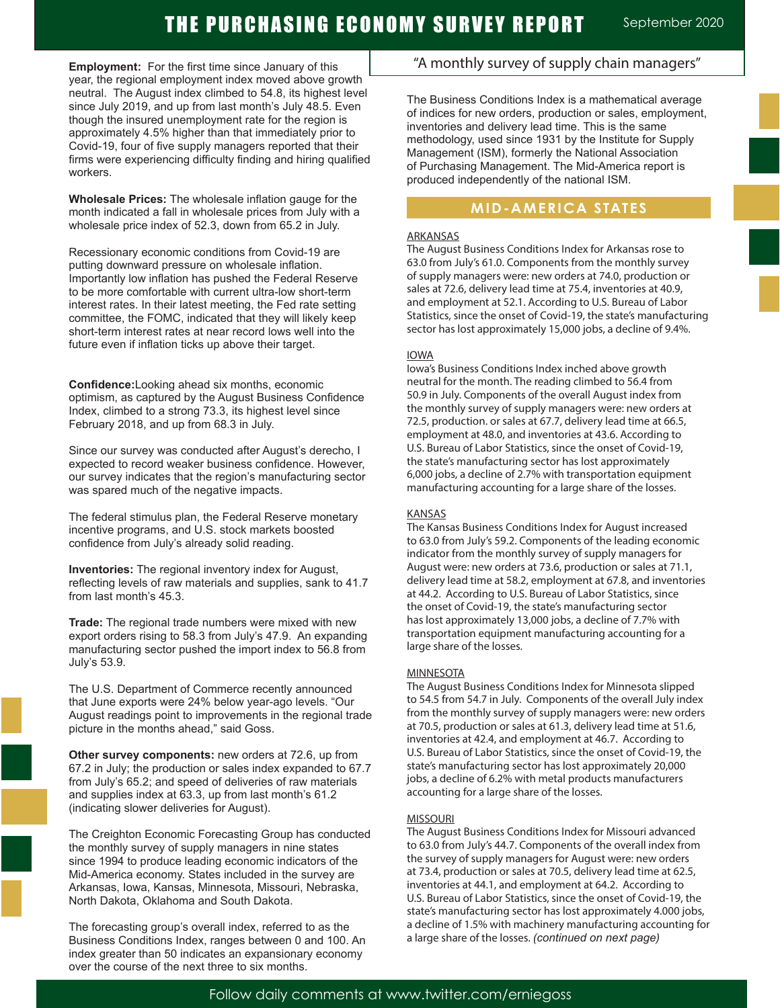**Employment:** For the first time since January of this year, the regional employment index moved above growth neutral. The August index climbed to 54.8, its highest level since July 2019, and up from last month's July 48.5. Even though the insured unemployment rate for the region is approximately 4.5% higher than that immediately prior to Covid-19, four of five supply managers reported that their firms were experiencing difficulty finding and hiring qualified workers.

**Wholesale Prices:** The wholesale inflation gauge for the month indicated a fall in wholesale prices from July with a wholesale price index of 52.3, down from 65.2 in July.

Recessionary economic conditions from Covid-19 are putting downward pressure on wholesale inflation. Importantly low inflation has pushed the Federal Reserve to be more comfortable with current ultra-low short-term interest rates. In their latest meeting, the Fed rate setting committee, the FOMC, indicated that they will likely keep short-term interest rates at near record lows well into the future even if inflation ticks up above their target.

**Confidence:**Looking ahead six months, economic optimism, as captured by the August Business Confidence Index, climbed to a strong 73.3, its highest level since February 2018, and up from 68.3 in July.

Since our survey was conducted after August's derecho, I expected to record weaker business confidence. However, our survey indicates that the region's manufacturing sector was spared much of the negative impacts.

The federal stimulus plan, the Federal Reserve monetary incentive programs, and U.S. stock markets boosted confidence from July's already solid reading. .

**Inventories:** The regional inventory index for August, reflecting levels of raw materials and supplies, sank to 41.7 from last month's 45.3.

**Trade:** The regional trade numbers were mixed with new export orders rising to 58.3 from July's 47.9. An expanding manufacturing sector pushed the import index to 56.8 from July's 53.9.

The U.S. Department of Commerce recently announced that June exports were 24% below year-ago levels. "Our August readings point to improvements in the regional trade picture in the months ahead," said Goss.

**Other survey components:** new orders at 72.6, up from 67.2 in July; the production or sales index expanded to 67.7 from July's 65.2; and speed of deliveries of raw materials and supplies index at 63.3, up from last month's 61.2 (indicating slower deliveries for August).

The Creighton Economic Forecasting Group has conducted the monthly survey of supply managers in nine states since 1994 to produce leading economic indicators of the Mid-America economy. States included in the survey are Arkansas, Iowa, Kansas, Minnesota, Missouri, Nebraska, North Dakota, Oklahoma and South Dakota.

The forecasting group's overall index, referred to as the Business Conditions Index, ranges between 0 and 100. An index greater than 50 indicates an expansionary economy over the course of the next three to six months.

# "A monthly survey of supply chain managers"

The Business Conditions Index is a mathematical average of indices for new orders, production or sales, employment, inventories and delivery lead time. This is the same methodology, used since 1931 by the Institute for Supply Management (ISM), formerly the National Association of Purchasing Management. The Mid-America report is produced independently of the national ISM.

# **MID-AMERICA STATES**

### ARKANSAS

The August Business Conditions Index for Arkansas rose to 63.0 from July's 61.0. Components from the monthly survey of supply managers were: new orders at 74.0, production or sales at 72.6, delivery lead time at 75.4, inventories at 40.9, and employment at 52.1. According to U.S. Bureau of Labor Statistics, since the onset of Covid-19, the state's manufacturing sector has lost approximately 15,000 jobs, a decline of 9.4%.

### IOWA

Iowa's Business Conditions Index inched above growth neutral for the month. The reading climbed to 56.4 from 50.9 in July. Components of the overall August index from the monthly survey of supply managers were: new orders at 72.5, production. or sales at 67.7, delivery lead time at 66.5, employment at 48.0, and inventories at 43.6. According to U.S. Bureau of Labor Statistics, since the onset of Covid-19, the state's manufacturing sector has lost approximately 6,000 jobs, a decline of 2.7% with transportation equipment manufacturing accounting for a large share of the losses.

#### KANSAS

The Kansas Business Conditions Index for August increased to 63.0 from July's 59.2. Components of the leading economic indicator from the monthly survey of supply managers for August were: new orders at 73.6, production or sales at 71.1, delivery lead time at 58.2, employment at 67.8, and inventories at 44.2. According to U.S. Bureau of Labor Statistics, since the onset of Covid-19, the state's manufacturing sector has lost approximately 13,000 jobs, a decline of 7.7% with transportation equipment manufacturing accounting for a large share of the losses.

#### **MINNESOTA**

The August Business Conditions Index for Minnesota slipped to 54.5 from 54.7 in July. Components of the overall July index from the monthly survey of supply managers were: new orders at 70.5, production or sales at 61.3, delivery lead time at 51.6, inventories at 42.4, and employment at 46.7. According to U.S. Bureau of Labor Statistics, since the onset of Covid-19, the state's manufacturing sector has lost approximately 20,000 jobs, a decline of 6.2% with metal products manufacturers accounting for a large share of the losses.

#### **MISSOURI**

The August Business Conditions Index for Missouri advanced to 63.0 from July's 44.7. Components of the overall index from the survey of supply managers for August were: new orders at 73.4, production or sales at 70.5, delivery lead time at 62.5, inventories at 44.1, and employment at 64.2. According to U.S. Bureau of Labor Statistics, since the onset of Covid-19, the state's manufacturing sector has lost approximately 4.000 jobs, a decline of 1.5% with machinery manufacturing accounting for a large share of the losses. *(continued on next page)*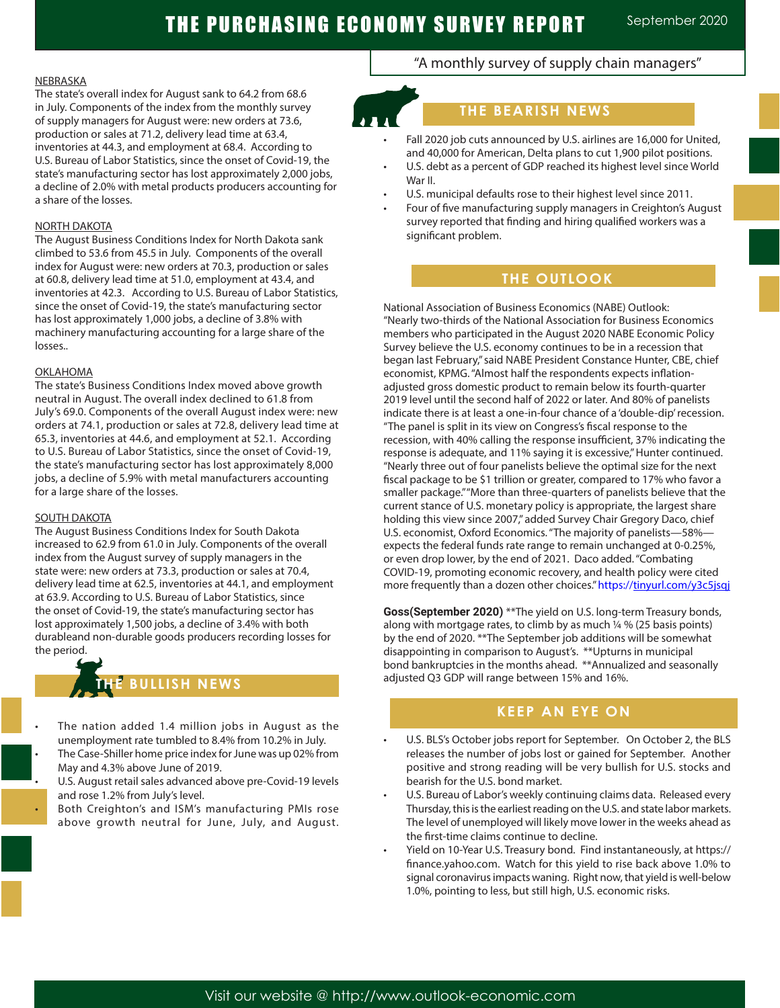#### NEBRASKA

The state's overall index for August sank to 64.2 from 68.6 in July. Components of the index from the monthly survey of supply managers for August were: new orders at 73.6, production or sales at 71.2, delivery lead time at 63.4, inventories at 44.3, and employment at 68.4. According to U.S. Bureau of Labor Statistics, since the onset of Covid-19, the state's manufacturing sector has lost approximately 2,000 jobs, a decline of 2.0% with metal products producers accounting for a share of the losses.

#### NORTH DAKOTA

The August Business Conditions Index for North Dakota sank climbed to 53.6 from 45.5 in July. Components of the overall index for August were: new orders at 70.3, production or sales at 60.8, delivery lead time at 51.0, employment at 43.4, and inventories at 42.3. According to U.S. Bureau of Labor Statistics, since the onset of Covid-19, the state's manufacturing sector has lost approximately 1,000 jobs, a decline of 3.8% with machinery manufacturing accounting for a large share of the losses..

#### OKLAHOMA

The state's Business Conditions Index moved above growth neutral in August. The overall index declined to 61.8 from July's 69.0. Components of the overall August index were: new orders at 74.1, production or sales at 72.8, delivery lead time at 65.3, inventories at 44.6, and employment at 52.1. According to U.S. Bureau of Labor Statistics, since the onset of Covid-19, the state's manufacturing sector has lost approximately 8,000 jobs, a decline of 5.9% with metal manufacturers accounting for a large share of the losses.

#### SOUTH DAKOTA

The August Business Conditions Index for South Dakota increased to 62.9 from 61.0 in July. Components of the overall index from the August survey of supply managers in the state were: new orders at 73.3, production or sales at 70.4, delivery lead time at 62.5, inventories at 44.1, and employment at 63.9. According to U.S. Bureau of Labor Statistics, since the onset of Covid-19, the state's manufacturing sector has lost approximately 1,500 jobs, a decline of 3.4% with both durableand non-durable goods producers recording losses for the period.

# **BULLISH NEWS**

- The nation added 1.4 million jobs in August as the unemployment rate tumbled to 8.4% from 10.2% in July. • The Case-Shiller home price index for June was up 02% from May and 4.3% above June of 2019.
- U.S. August retail sales advanced above pre-Covid-19 levels and rose 1.2% from July's level.
- Both Creighton's and ISM's manufacturing PMIs rose above growth neutral for June, July, and August.

# "A monthly survey of supply chain managers"

### **THE BEARISH NEWS**

- Fall 2020 job cuts announced by U.S. airlines are 16,000 for United, and 40,000 for American, Delta plans to cut 1,900 pilot positions. U.S. debt as a percent of GDP reached its highest level since World
- War II.
- U.S. municipal defaults rose to their highest level since 2011.
- Four of five manufacturing supply managers in Creighton's August survey reported that finding and hiring qualified workers was a significant problem.

# **THE OUTLOOK**

National Association of Business Economics (NABE) Outlook: "Nearly two-thirds of the National Association for Business Economics members who participated in the August 2020 NABE Economic Policy Survey believe the U.S. economy continues to be in a recession that began last February," said NABE President Constance Hunter, CBE, chief economist, KPMG. "Almost half the respondents expects inflationadjusted gross domestic product to remain below its fourth-quarter 2019 level until the second half of 2022 or later. And 80% of panelists indicate there is at least a one-in-four chance of a 'double-dip' recession. "The panel is split in its view on Congress's fiscal response to the recession, with 40% calling the response insufficient, 37% indicating the response is adequate, and 11% saying it is excessive," Hunter continued. "Nearly three out of four panelists believe the optimal size for the next fiscal package to be \$1 trillion or greater, compared to 17% who favor a smaller package." "More than three-quarters of panelists believe that the current stance of U.S. monetary policy is appropriate, the largest share holding this view since 2007," added Survey Chair Gregory Daco, chief U.S. economist, Oxford Economics. "The majority of panelists—58% expects the federal funds rate range to remain unchanged at 0-0.25%, or even drop lower, by the end of 2021. Daco added. "Combating COVID-19, promoting economic recovery, and health policy were cited more frequently than a dozen other choices." https://tinyurl.com/y3c5jsqj

**Goss(September 2020)** \*\*The yield on U.S. long-term Treasury bonds, along with mortgage rates, to climb by as much ¼ % (25 basis points) by the end of 2020. \*\*The September job additions will be somewhat disappointing in comparison to August's. \*\*Upturns in municipal bond bankruptcies in the months ahead. \*\*Annualized and seasonally adjusted Q3 GDP will range between 15% and 16%.

### **T TO WATCH KEEP AN EYE ON**

- U.S. BLS's October jobs report for September. On October 2, the BLS releases the number of jobs lost or gained for September. Another positive and strong reading will be very bullish for U.S. stocks and bearish for the U.S. bond market.
- U.S. Bureau of Labor's weekly continuing claims data. Released every Thursday, this is the earliest reading on the U.S. and state labor markets. The level of unemployed will likely move lower in the weeks ahead as the first-time claims continue to decline.
- Yield on 10-Year U.S. Treasury bond. Find instantaneously, at https:// finance.yahoo.com. Watch for this yield to rise back above 1.0% to signal coronavirus impacts waning. Right now, that yield is well-below 1.0%, pointing to less, but still high, U.S. economic risks.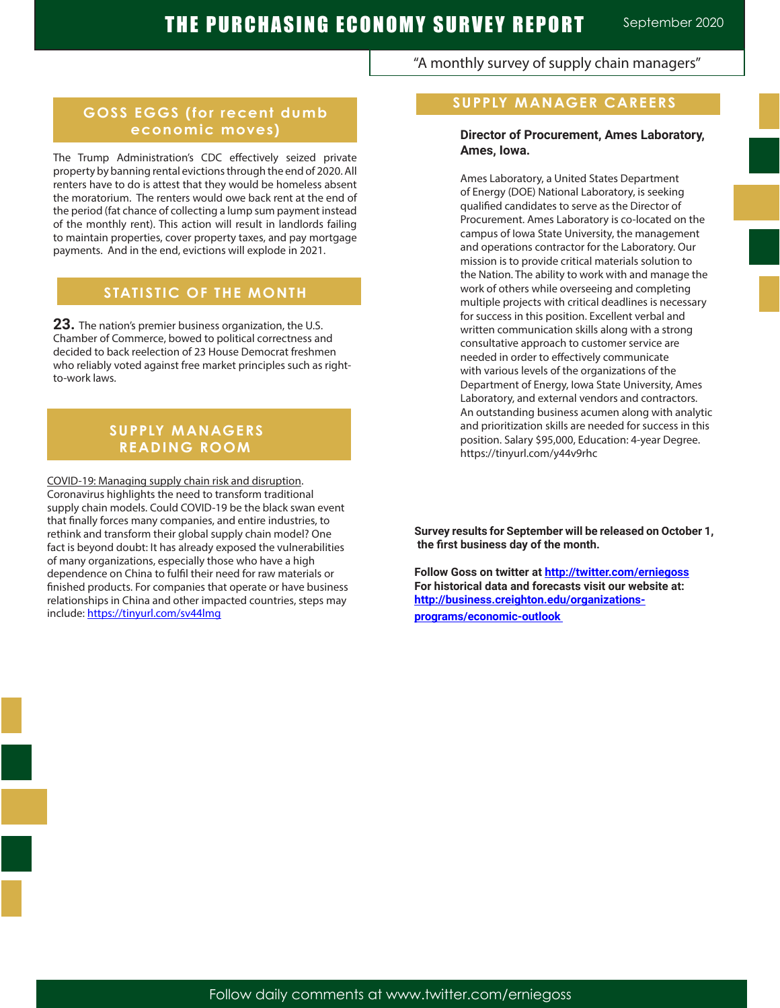"A monthly survey of supply chain managers"

# **GOSS EGGS (for recent dumb economic moves)**

The Trump Administration's CDC effectively seized private property by banning rental evictions through the end of 2020. All renters have to do is attest that they would be homeless absent the moratorium. The renters would owe back rent at the end of the period (fat chance of collecting a lump sum payment instead of the monthly rent). This action will result in landlords failing to maintain properties, cover property taxes, and pay mortgage payments. And in the end, evictions will explode in 2021.

# **STATISTIC OF THE MONTH**

**23.** The nation's premier business organization, the U.S. Chamber of Commerce, bowed to political correctness and decided to back reelection of 23 House Democrat freshmen who reliably voted against free market principles such as rightto-work laws.

### **SUPPLY MANAGERS READING ROOM**

COVID-19: Managing supply chain risk and disruption. Coronavirus highlights the need to transform traditional supply chain models. Could COVID-19 be the black swan event that finally forces many companies, and entire industries, to rethink and transform their global supply chain model? One fact is beyond doubt: It has already exposed the vulnerabilities of many organizations, especially those who have a high dependence on China to fulfil their need for raw materials or finished products. For companies that operate or have business relationships in China and other impacted countries, steps may include: https://tinyurl.com/sv44lmg

## **SUPPLY MANAGER CAREERS**

### **Director of Procurement, Ames Laboratory, Ames, Iowa.**

Ames Laboratory, a United States Department of Energy (DOE) National Laboratory, is seeking qualified candidates to serve as the Director of Procurement. Ames Laboratory is co-located on the campus of Iowa State University, the management and operations contractor for the Laboratory. Our mission is to provide critical materials solution to the Nation. The ability to work with and manage the work of others while overseeing and completing multiple projects with critical deadlines is necessary for success in this position. Excellent verbal and written communication skills along with a strong consultative approach to customer service are needed in order to effectively communicate with various levels of the organizations of the Department of Energy, Iowa State University, Ames Laboratory, and external vendors and contractors. An outstanding business acumen along with analytic and prioritization skills are needed for success in this position. Salary \$95,000, Education: 4-year Degree. https://tinyurl.com/y44v9rhc

**Survey results for September will be released on October 1, the first business day of the month.**

**Follow Goss on twitter at http://twitter.com/erniegoss For historical data and forecasts visit our website at: http://business.creighton.edu/organizations**programs/economic-outlook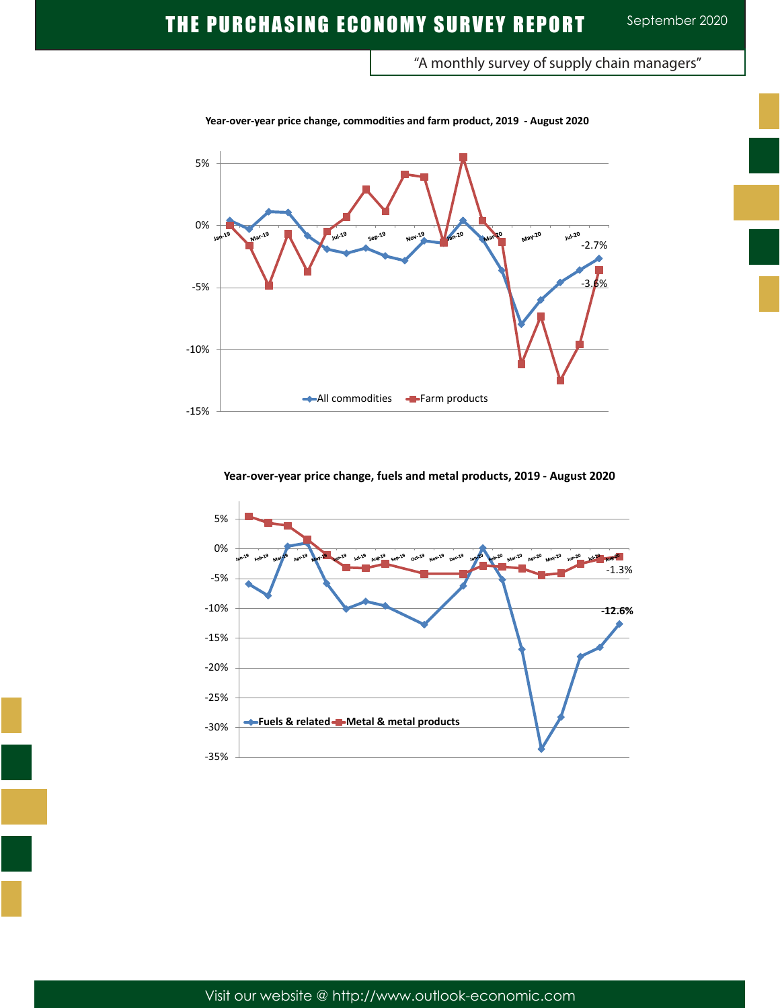"A monthly survey of supply chain managers"



**Year-over-year price change, commodities and farm product, 2019 - August 2020**